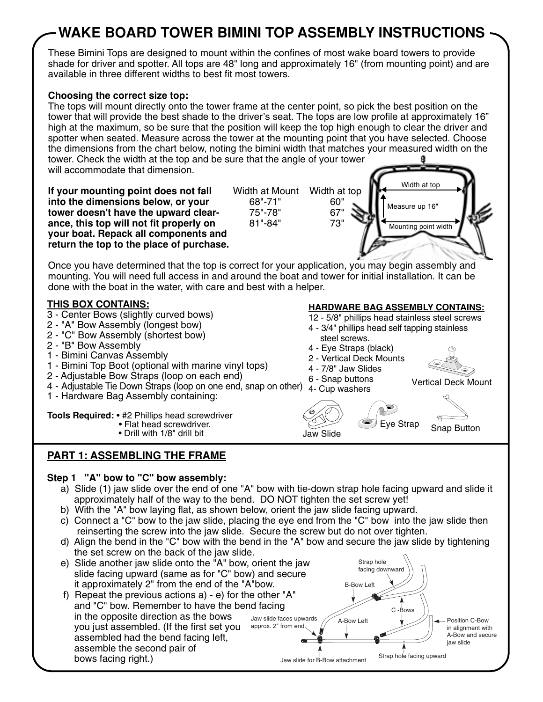# **WAKE BOARD TOWER BIMINI TOP ASSEMBLY INSTRUCTIONS**

These Bimini Tops are designed to mount within the confines of most wake board towers to provide shade for driver and spotter. All tops are 48" long and approximately 16" (from mounting point) and are available in three different widths to best fit most towers.

## **Choosing the correct size top:**

The tops will mount directly onto the tower frame at the center point, so pick the best position on the tower that will provide the best shade to the driver's seat. The tops are low profile at approximately 16" high at the maximum, so be sure that the position will keep the top high enough to clear the driver and spotter when seated. Measure across the tower at the mounting point that you have selected. Choose the dimensions from the chart below, noting the bimini width that matches your measured width on the tower. Check the width at the top and be sure that the angle of your tower will accommodate that dimension.

**If your mounting point does not fall into the dimensions below, or your tower doesn't have the upward clearance, this top will not fit properly on your boat. Repack all components and return the top to the place of purchase.**

Width at Mount Width at top 68"-71" 60" 75"-78" 67" 81"-84" 73"



**HARDWARE BAG ASSEMBLY CONTAINS:** 12 - 5/8" phillips head stainless steel screws 4 - 3/4" phillips head self tapping stainless

Once you have determined that the top is correct for your application, you may begin assembly and mounting. You will need full access in and around the boat and tower for initial installation. It can be done with the boat in the water, with care and best with a helper.

## **THIS BOX CONTAINS:**

- 3 Center Bows (slightly curved bows)
- 2 "A" Bow Assembly (longest bow)
- 2 "C" Bow Assembly (shortest bow)
- 2 "B" Bow Assembly
- 1 Bimini Canvas Assembly
- 1 Bimini Top Boot (optional with marine vinyl tops)
- 2 Adjustable Bow Straps (loop on each end)
- 4 Adjustable Tie Down Straps (loop on one end, snap on other) 4- Cup washers
- 1 Hardware Bag Assembly containing:

**Tools Required:** • #2 Phillips head screwdriver

- Flat head screwdriver.
- 

## **PART 1: ASSEMBLING THE FRAME**

## **Step 1 "A" bow to "C" bow assembly:**

- a) Slide (1) jaw slide over the end of one "A" bow with tie-down strap hole facing upward and slide it approximately half of the way to the bend. DO NOT tighten the set screw yet!
- b) With the "A" bow laying flat, as shown below, orient the jaw slide facing upward.
- c) Connect a "C" bow to the jaw slide, placing the eye end from the "C" bow into the jaw slide then reinserting the screw into the jaw slide. Secure the screw but do not over tighten.
- d) Align the bend in the "C" bow with the bend in the "A" bow and secure the jaw slide by tightening the set screw on the back of the jaw slide.



- Vertical Deck Mount
- Fiat nead screwariver.<br>• Drill with 1/8" drill bit Snap Button Jaw Slide Eye Strap

 steel screws. 4 - Eye Straps (black) 2 - Vertical Deck Mounts 4 - 7/8" Jaw Slides 6 - Snap buttons

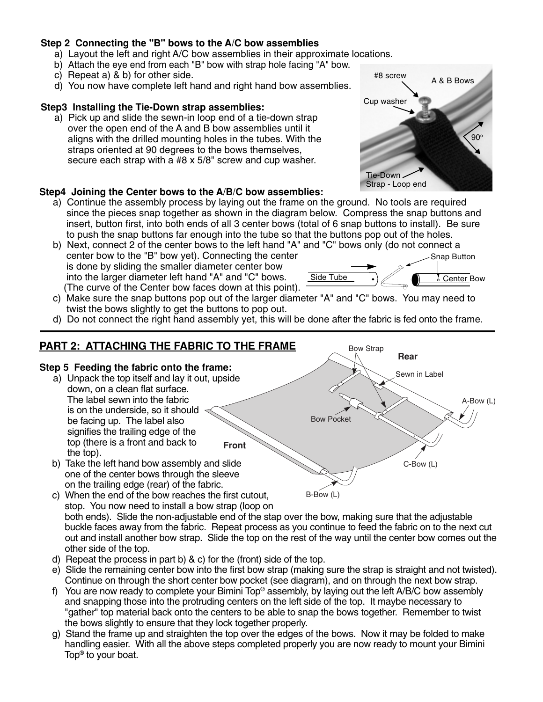## **Step 2 Connecting the "B" bows to the A/C bow assemblies**

- a) Layout the left and right A/C bow assemblies in their approximate locations.
- b) Attach the eye end from each "B" bow with strap hole facing "A" bow.
- c) Repeat a) & b) for other side.
- d) You now have complete left hand and right hand bow assemblies.

### **Step3 Installing the Tie-Down strap assemblies:**

 a) Pick up and slide the sewn-in loop end of a tie-down strap over the open end of the A and B bow assemblies until it aligns with the drilled mounting holes in the tubes. With the straps oriented at 90 degrees to the bows themselves, secure each strap with a #8 x 5/8" screw and cup washer.

## **Step4 Joining the Center bows to the A/B/C bow assemblies:**

- a) Continue the assembly process by laying out the frame on the ground. No tools are required since the pieces snap together as shown in the diagram below. Compress the snap buttons and insert, button first, into both ends of all 3 center bows (total of 6 snap buttons to install). Be sure to push the snap buttons far enough into the tube so that the buttons pop out of the holes.
- b) Next, connect 2 of the center bows to the left hand "A" and "C" bows only (do not connect a center bow to the "B" bow yet). Connecting the center is done by sliding the smaller diameter center bow into the larger diameter left hand "A" and "C" bows. (The curve of the Center bow faces down at this point).
	- Snap Button Side Tube  $\bullet$   $\mathcal{O}$   $\bullet$  Center Bow
- c) Make sure the snap buttons pop out of the larger diameter "A" and "C" bows. You may need to twist the bows slightly to get the buttons to pop out.
- d) Do not connect the right hand assembly yet, this will be done after the fabric is fed onto the frame.

#### **PART 2: ATTACHING THE FABRIC TO THE FRAME Step 5 Feeding the fabric onto the frame:** a) Unpack the top itself and lay it out, upside down, on a clean flat surface. The label sewn into the fabric is on the underside, so it should be facing up. The label also signifies the trailing edge of the top (there is a front and back to the top). b) Take the left hand bow assembly and slide one of the center bows through the sleeve on the trailing edge (rear) of the fabric. C-Bow (L) A-Bow (L) **Rear Front** Bow Pocket Sewn in Label Bow Strap

- c) When the end of the bow reaches the first cutout, stop. You now need to install a bow strap (loop on both ends). Slide the non-adjustable end of the stap over the bow, making sure that the adjustable buckle faces away from the fabric. Repeat process as you continue to feed the fabric on to the next cut out and install another bow strap. Slide the top on the rest of the way until the center bow comes out the other side of the top. B-Bow (L)
- d) Repeat the process in part b) & c) for the (front) side of the top.
- e) Slide the remaining center bow into the first bow strap (making sure the strap is straight and not twisted). Continue on through the short center bow pocket (see diagram), and on through the next bow strap.
- f) You are now ready to complete your Bimini Top® assembly, by laying out the left A/B/C bow assembly and snapping those into the protruding centers on the left side of the top. It maybe necessary to "gather" top material back onto the centers to be able to snap the bows together. Remember to twist the bows slightly to ensure that they lock together properly.
- g) Stand the frame up and straighten the top over the edges of the bows. Now it may be folded to make handling easier. With all the above steps completed properly you are now ready to mount your Bimini Top® to your boat.

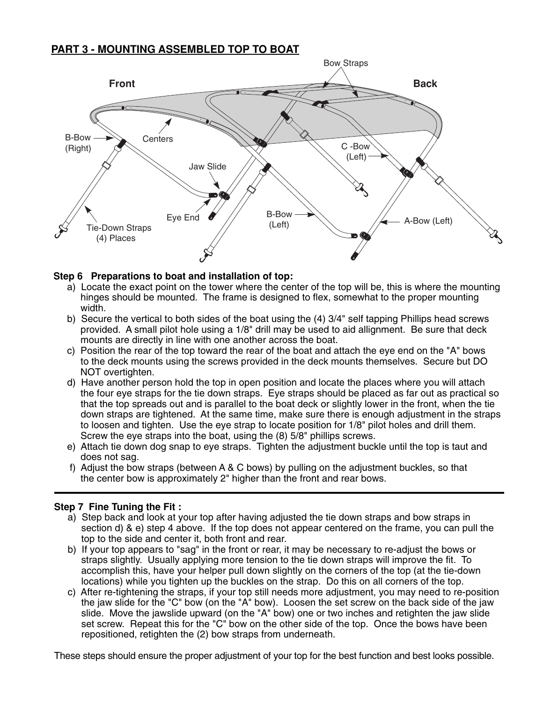## **PART 3 - MOUNTING ASSEMBLED TOP TO BOAT**



### **Step 6 Preparations to boat and installation of top:**

- a) Locate the exact point on the tower where the center of the top will be, this is where the mounting hinges should be mounted. The frame is designed to flex, somewhat to the proper mounting width.
- b) Secure the vertical to both sides of the boat using the (4) 3/4" self tapping Phillips head screws provided. A small pilot hole using a 1/8" drill may be used to aid allignment. Be sure that deck mounts are directly in line with one another across the boat.
- c) Position the rear of the top toward the rear of the boat and attach the eye end on the "A" bows to the deck mounts using the screws provided in the deck mounts themselves. Secure but DO NOT overtighten.
- d) Have another person hold the top in open position and locate the places where you will attach the four eye straps for the tie down straps. Eye straps should be placed as far out as practical so that the top spreads out and is parallel to the boat deck or slightly lower in the front, when the tie down straps are tightened. At the same time, make sure there is enough adjustment in the straps to loosen and tighten. Use the eye strap to locate position for 1/8" pilot holes and drill them. Screw the eye straps into the boat, using the (8) 5/8" phillips screws.
- e) Attach tie down dog snap to eye straps. Tighten the adjustment buckle until the top is taut and does not sag.
- f) Adjust the bow straps (between A & C bows) by pulling on the adjustment buckles, so that the center bow is approximately 2" higher than the front and rear bows.

### **Step 7 Fine Tuning the Fit :**

- a) Step back and look at your top after having adjusted the tie down straps and bow straps in section d) & e) step 4 above. If the top does not appear centered on the frame, you can pull the top to the side and center it, both front and rear.
- b) If your top appears to "sag" in the front or rear, it may be necessary to re-adjust the bows or straps slightly. Usually applying more tension to the tie down straps will improve the fit. To accomplish this, have your helper pull down slightly on the corners of the top (at the tie-down locations) while you tighten up the buckles on the strap. Do this on all corners of the top.
- c) After re-tightening the straps, if your top still needs more adjustment, you may need to re-position the jaw slide for the "C" bow (on the "A" bow). Loosen the set screw on the back side of the jaw slide. Move the jawslide upward (on the "A" bow) one or two inches and retighten the jaw slide set screw. Repeat this for the "C" bow on the other side of the top. Once the bows have been repositioned, retighten the (2) bow straps from underneath.

These steps should ensure the proper adjustment of your top for the best function and best looks possible.